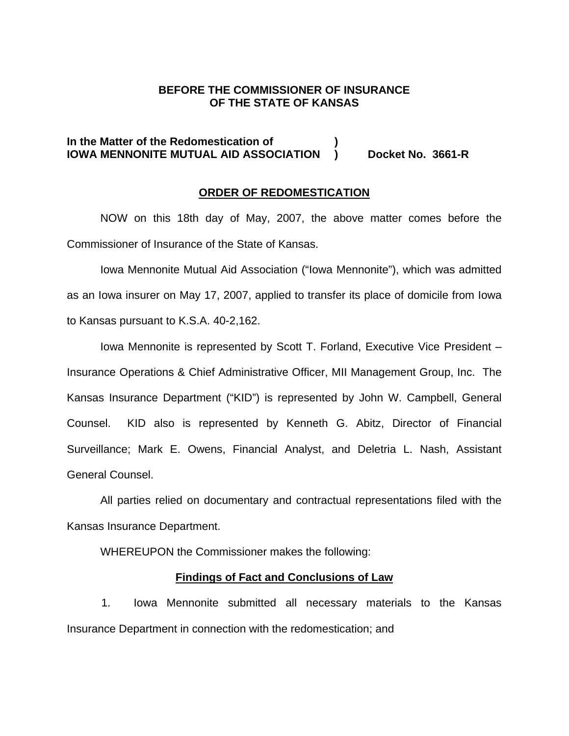#### **BEFORE THE COMMISSIONER OF INSURANCE OF THE STATE OF KANSAS**

### **In the Matter of the Redomestication of ) IOWA MENNONITE MUTUAL AID ASSOCIATION ) Docket No. 3661-R**

#### **ORDER OF REDOMESTICATION**

 NOW on this 18th day of May, 2007, the above matter comes before the Commissioner of Insurance of the State of Kansas.

Iowa Mennonite Mutual Aid Association ("Iowa Mennonite"), which was admitted as an Iowa insurer on May 17, 2007, applied to transfer its place of domicile from Iowa to Kansas pursuant to K.S.A. 40-2,162.

Iowa Mennonite is represented by Scott T. Forland, Executive Vice President – Insurance Operations & Chief Administrative Officer, MII Management Group, Inc. The Kansas Insurance Department ("KID") is represented by John W. Campbell, General Counsel. KID also is represented by Kenneth G. Abitz, Director of Financial Surveillance; Mark E. Owens, Financial Analyst, and Deletria L. Nash, Assistant General Counsel.

All parties relied on documentary and contractual representations filed with the Kansas Insurance Department.

WHEREUPON the Commissioner makes the following:

#### **Findings of Fact and Conclusions of Law**

1. Iowa Mennonite submitted all necessary materials to the Kansas Insurance Department in connection with the redomestication; and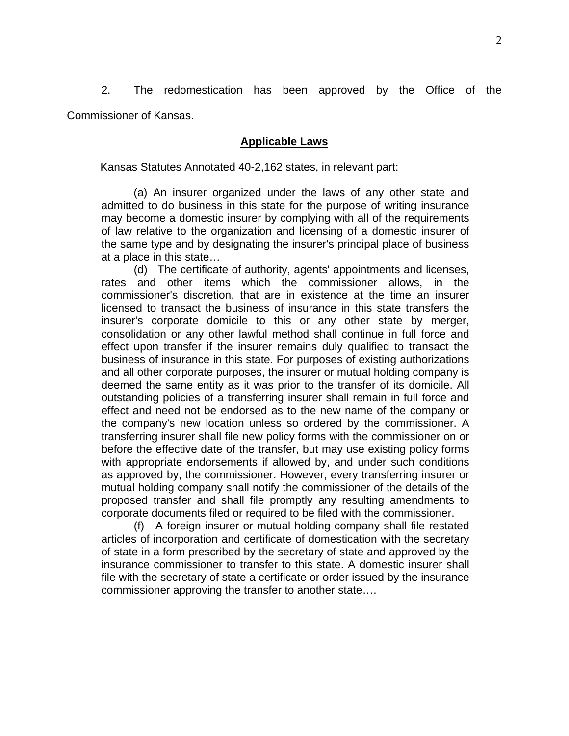2. The redomestication has been approved by the Office of the Commissioner of Kansas.

#### **Applicable Laws**

Kansas Statutes Annotated 40-2,162 states, in relevant part:

(a) An insurer organized under the laws of any other state and admitted to do business in this state for the purpose of writing insurance may become a domestic insurer by complying with all of the requirements of law relative to the organization and licensing of a domestic insurer of the same type and by designating the insurer's principal place of business at a place in this state…

 (d) The certificate of authority, agents' appointments and licenses, rates and other items which the commissioner allows, in the commissioner's discretion, that are in existence at the time an insurer licensed to transact the business of insurance in this state transfers the insurer's corporate domicile to this or any other state by merger, consolidation or any other lawful method shall continue in full force and effect upon transfer if the insurer remains duly qualified to transact the business of insurance in this state. For purposes of existing authorizations and all other corporate purposes, the insurer or mutual holding company is deemed the same entity as it was prior to the transfer of its domicile. All outstanding policies of a transferring insurer shall remain in full force and effect and need not be endorsed as to the new name of the company or the company's new location unless so ordered by the commissioner. A transferring insurer shall file new policy forms with the commissioner on or before the effective date of the transfer, but may use existing policy forms with appropriate endorsements if allowed by, and under such conditions as approved by, the commissioner. However, every transferring insurer or mutual holding company shall notify the commissioner of the details of the proposed transfer and shall file promptly any resulting amendments to corporate documents filed or required to be filed with the commissioner.

 (f) A foreign insurer or mutual holding company shall file restated articles of incorporation and certificate of domestication with the secretary of state in a form prescribed by the secretary of state and approved by the insurance commissioner to transfer to this state. A domestic insurer shall file with the secretary of state a certificate or order issued by the insurance commissioner approving the transfer to another state….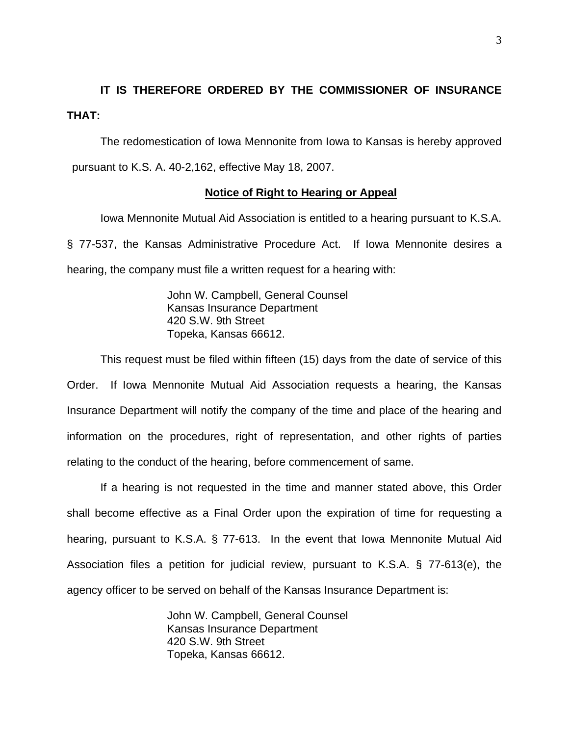## **IT IS THEREFORE ORDERED BY THE COMMISSIONER OF INSURANCE THAT:**

The redomestication of Iowa Mennonite from Iowa to Kansas is hereby approved pursuant to K.S. A. 40-2,162, effective May 18, 2007.

#### **Notice of Right to Hearing or Appeal**

Iowa Mennonite Mutual Aid Association is entitled to a hearing pursuant to K.S.A. § 77-537, the Kansas Administrative Procedure Act. If Iowa Mennonite desires a hearing, the company must file a written request for a hearing with:

> John W. Campbell, General Counsel Kansas Insurance Department 420 S.W. 9th Street Topeka, Kansas 66612.

This request must be filed within fifteen (15) days from the date of service of this Order. If Iowa Mennonite Mutual Aid Association requests a hearing, the Kansas Insurance Department will notify the company of the time and place of the hearing and information on the procedures, right of representation, and other rights of parties relating to the conduct of the hearing, before commencement of same.

If a hearing is not requested in the time and manner stated above, this Order shall become effective as a Final Order upon the expiration of time for requesting a hearing, pursuant to K.S.A. § 77-613. In the event that Iowa Mennonite Mutual Aid Association files a petition for judicial review, pursuant to K.S.A. § 77-613(e), the agency officer to be served on behalf of the Kansas Insurance Department is:

> John W. Campbell, General Counsel Kansas Insurance Department 420 S.W. 9th Street Topeka, Kansas 66612.